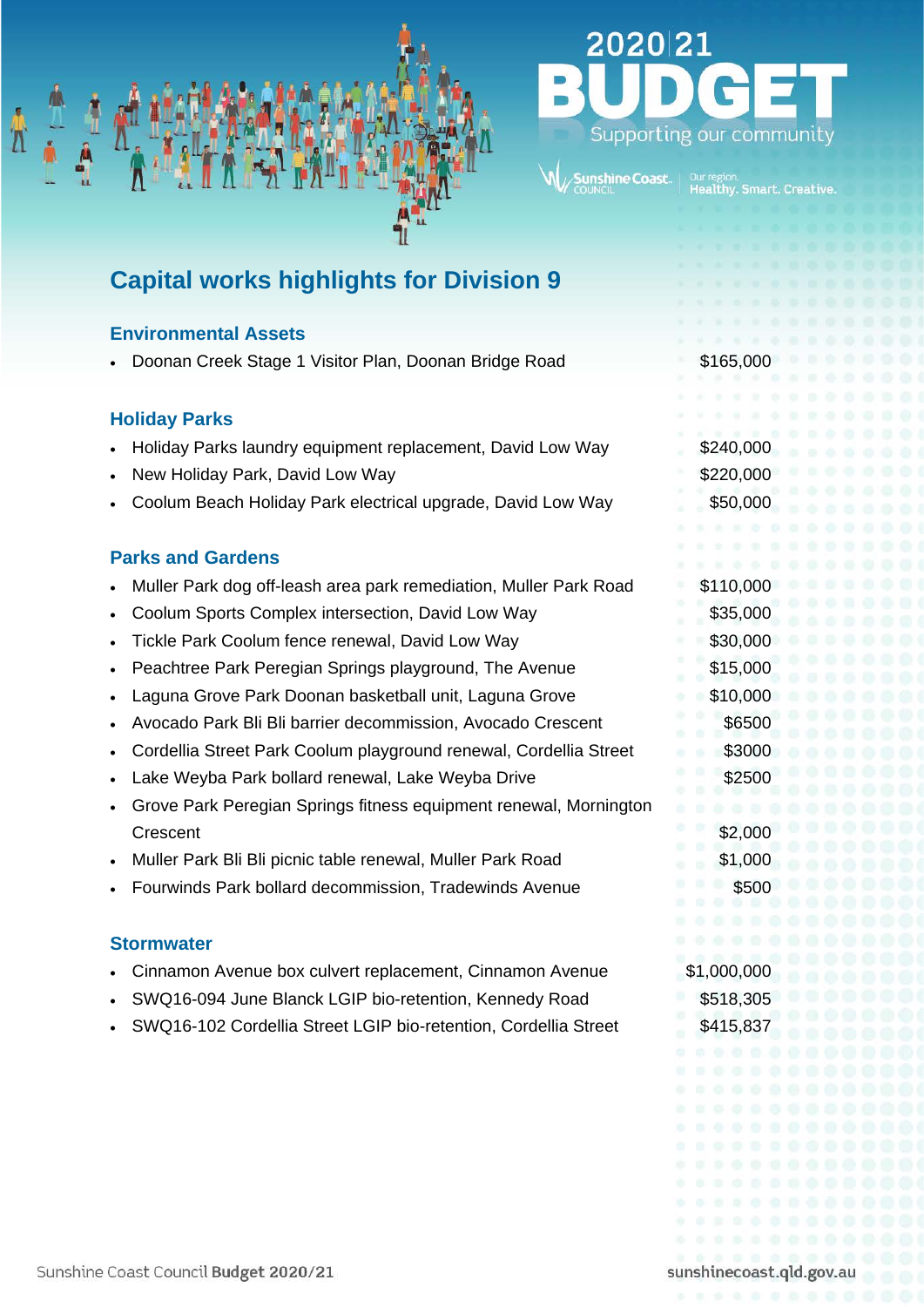

# 2020 21 Supporting our community

## **Capital works highlights for Division 9**

### **Environmental Assets**

• Doonan Creek Stage 1 Visitor Plan, Doonan Bridge Road \$165,000

### **Holiday Parks**

- Holiday Parks laundry equipment replacement, David Low Way \$240,000
- **Park, David Low Way 6 and 100 million 100 million 100 million 100 million 100 million 100 million 100 million 100 million 100 million 100 million 100 million 100 million 100 million 100 million 100 million 100 million 100**
- Coolum Beach Holiday Park electrical upgrade, David Low Way \$50,000

### **Parks and Gardens**

- Muller Park dog off-leash area park remediation, Muller Park Road \$110,000
- Coolum Sports Complex intersection, David Low Way  $$35,000$
- Tickle Park Coolum fence renewal, David Low Way 630,000
- **Peachtree Park Peregian Springs playground, The Avenue \$15,000**
- Laguna Grove Park Doonan basketball unit, Laguna Grove \$10,000
- Avocado Park Bli Bli barrier decommission, Avocado Crescent \$6500
- Cordellia Street Park Coolum playground renewal, Cordellia Street \$3000
- Lake Weyba Park bollard renewal, Lake Weyba Drive **\$2500** \$2500
- Grove Park Peregian Springs fitness equipment renewal, Mornington Crescent \$2,000
- Muller Park Bli Bli picnic table renewal, Muller Park Road \$1,000
- Fourwinds Park bollard decommission, Tradewinds Avenue \$500

#### **Stormwater**

- Cinnamon Avenue box culvert replacement, Cinnamon Avenue \$1,000,000
- SWQ16-094 June Blanck LGIP bio-retention, Kennedy Road \$518,305
- SWQ16-102 Cordellia Street LGIP bio-retention, Cordellia Street \$415,837